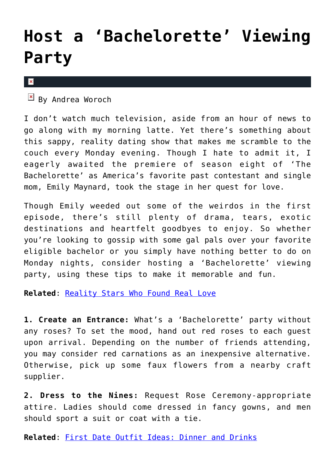# **[Host a 'Bachelorette' Viewing](https://cupidspulse.com/31676/host-a-bachelorette-viewing-party-andrea-woroch/) [Party](https://cupidspulse.com/31676/host-a-bachelorette-viewing-party-andrea-woroch/)**

 $\pmb{\times}$ 

 $\mathbb{E}$  By Andrea Woroch

I don't watch much television, aside from an hour of news to go along with my morning latte. Yet there's something about this sappy, reality dating show that makes me scramble to the couch every Monday evening. Though I hate to admit it, I eagerly awaited the premiere of season eight of 'The Bachelorette' as America's favorite past contestant and single mom, Emily Maynard, took the stage in her quest for love.

Though Emily weeded out some of the weirdos in the first episode, there's still plenty of drama, tears, exotic destinations and heartfelt goodbyes to enjoy. So whether you're looking to gossip with some gal pals over your favorite eligible bachelor or you simply have nothing better to do on Monday nights, consider hosting a 'Bachelorette' viewing party, using these tips to make it memorable and fun.

**Related**: [Reality Stars Who Found Real Love](http://cupidspulse.com/reality-star-couples-real-love/)

**1. Create an Entrance:** What's a 'Bachelorette' party without any roses? To set the mood, hand out red roses to each guest upon arrival. Depending on the number of friends attending, you may consider red carnations as an inexpensive alternative. Otherwise, pick up some faux flowers from a nearby craft supplier.

**2. Dress to the Nines:** Request Rose Ceremony-appropriate attire. Ladies should come dressed in fancy gowns, and men should sport a suit or coat with a tie.

**Related**: [First Date Outfit Ideas: Dinner and Drinks](http://cupidspulse.com/girls-guysfirst-date-outfit-ideas-dinner-and-drinks/)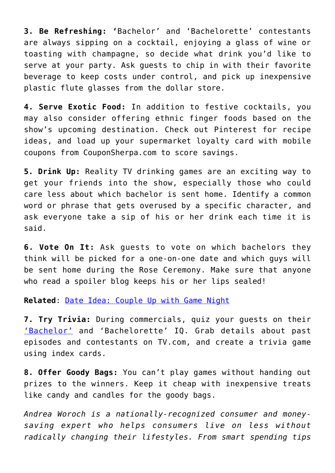**3. Be Refreshing: '**Bachelor' and 'Bachelorette' contestants are always sipping on a cocktail, enjoying a glass of wine or toasting with champagne, so decide what drink you'd like to serve at your party. Ask guests to chip in with their favorite beverage to keep costs under control, and pick up inexpensive plastic flute glasses from the dollar store.

**4. Serve Exotic Food:** In addition to festive cocktails, you may also consider offering ethnic finger foods based on the show's upcoming destination. Check out Pinterest for recipe ideas, and load up your supermarket loyalty card with mobile coupons from CouponSherpa.com to score savings.

**5. Drink Up:** Reality TV drinking games are an exciting way to get your friends into the show, especially those who could care less about which bachelor is sent home. Identify a common word or phrase that gets overused by a specific character, and ask everyone take a sip of his or her drink each time it is said.

**6. Vote On It:** Ask guests to vote on which bachelors they think will be picked for a one-on-one date and which guys will be sent home during the Rose Ceremony. Make sure that anyone who read a spoiler blog keeps his or her lips sealed!

**Related**: [Date Idea: Couple Up with Game Night](http://cupidspulse.com/weekend-date-idea-game-night-double-date-partner/)

**7. Try Trivia:** During commercials, quiz your guests on their ['Bachelor'](http://cupidspulse.com/category/reality-tv-couples/the-bachelor/) and 'Bachelorette' IQ. Grab details about past episodes and contestants on TV.com, and create a trivia game using index cards.

**8. Offer Goody Bags:** You can't play games without handing out prizes to the winners. Keep it cheap with inexpensive treats like candy and candles for the goody bags.

*Andrea Woroch is a nationally-recognized consumer and moneysaving expert who helps consumers live on less without radically changing their lifestyles. From smart spending tips*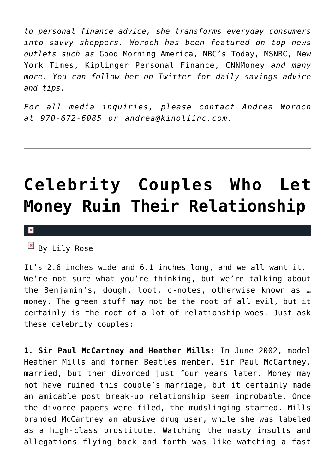*to personal finance advice, she transforms everyday consumers into savvy shoppers. Woroch has been featured on top news outlets such as* Good Morning America, NBC's Today, MSNBC, New York Times, Kiplinger Personal Finance, CNNMoney *and many more. You can follow her on Twitter for daily savings advice and tips.*

*For all media inquiries, please contact Andrea Woroch at 970-672-6085 or andrea@kinoliinc.com.*

# **[Celebrity Couples Who Let](https://cupidspulse.com/31828/celebrity-couples-who-let-money-ruin-their-relationship/) [Money Ruin Their Relationship](https://cupidspulse.com/31828/celebrity-couples-who-let-money-ruin-their-relationship/)**

 $\overline{B}$  By Lily Rose

It's 2.6 inches wide and 6.1 inches long, and we all want it. We're not sure what you're thinking, but we're talking about the Benjamin's, dough, loot, c-notes, otherwise known as … money. The green stuff may not be the root of all evil, but it certainly is the root of a lot of relationship woes. Just ask these celebrity couples:

**1. Sir Paul McCartney and Heather Mills:** In June 2002, model Heather Mills and former Beatles member, Sir Paul McCartney, married, but then divorced just four years later. Money may not have ruined this couple's marriage, but it certainly made an amicable post break-up relationship seem improbable. Once the divorce papers were filed, the mudslinging started. Mills branded McCartney an abusive drug user, while she was labeled as a high-class prostitute. Watching the nasty insults and allegations flying back and forth was like watching a fast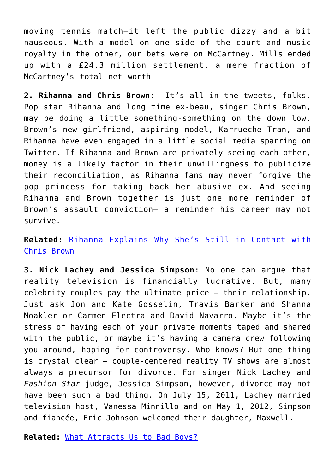moving tennis match–it left the public dizzy and a bit nauseous. With a model on one side of the court and music royalty in the other, our bets were on McCartney. Mills ended up with a £24.3 million settlement, a mere fraction of McCartney's total net worth.

**2. Rihanna and Chris Brown**: It's all in the tweets, folks. Pop star Rihanna and long time ex-beau, singer Chris Brown, may be doing a little something-something on the down low. Brown's new girlfriend, aspiring model, Karrueche Tran, and Rihanna have even engaged in a little social media sparring on Twitter. If Rihanna and Brown are privately seeing each other, money is a likely factor in their unwillingness to publicize their reconciliation, as Rihanna fans may never forgive the pop princess for taking back her abusive ex. And seeing Rihanna and Brown together is just one more reminder of Brown's assault conviction— a reminder his career may not survive.

### **Related:** [Rihanna Explains Why She's Still in Contact with](http://cupidspulse.com/rihanna-explains-why-contact-ex-chris-brown/) [Chris Brown](http://cupidspulse.com/rihanna-explains-why-contact-ex-chris-brown/)

**3. Nick Lachey and Jessica Simpson**: No one can argue that reality television is financially lucrative. But, many celebrity couples pay the ultimate price — their relationship. Just ask Jon and Kate Gosselin, Travis Barker and Shanna Moakler or Carmen Electra and David Navarro. Maybe it's the stress of having each of your private moments taped and shared with the public, or maybe it's having a camera crew following you around, hoping for controversy. Who knows? But one thing is crystal clear — couple-centered reality TV shows are almost always a precursor for divorce. For singer Nick Lachey and *Fashion Star* judge, Jessica Simpson, however, divorce may not have been such a bad thing. On July 15, 2011, Lachey married television host, Vanessa Minnillo and on May 1, 2012, Simpson and fiancée, Eric Johnson welcomed their daughter, Maxwell.

**Related:** [What Attracts Us to Bad Boys?](http://cupidspulse.com/what-attracts-us-to-bad-boys-chris-brown-brad-pitt/)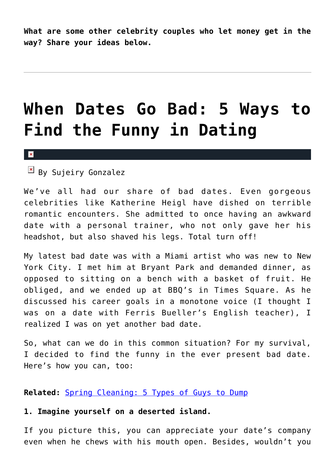**What are some other celebrity couples who let money get in the way? Share your ideas below.**

### **[When Dates Go Bad: 5 Ways to](https://cupidspulse.com/31570/when-dates-go-bad-tips-enjoy-bad-dates/) [Find the Funny in Dating](https://cupidspulse.com/31570/when-dates-go-bad-tips-enjoy-bad-dates/)**

#### $\pmb{\times}$

 $\overline{B}$  By Sujeiry Gonzalez

We've all had our share of bad dates. Even gorgeous celebrities like Katherine Heigl have dished on terrible romantic encounters. She admitted to once having an awkward date with a personal trainer, who not only gave her his headshot, but also shaved his legs. Total turn off!

My latest bad date was with a Miami artist who was new to New York City. I met him at Bryant Park and demanded dinner, as opposed to sitting on a bench with a basket of fruit. He obliged, and we ended up at BBQ's in Times Square. As he discussed his career goals in a monotone voice (I thought I was on a date with Ferris Bueller's English teacher), I realized I was on yet another bad date.

So, what can we do in this common situation? For my survival, I decided to find the funny in the ever present bad date. Here's how you can, too:

**Related:** [Spring Cleaning: 5 Types of Guys to Dump](http://cupidspulse.com/spring-cleaning-five-types-guys-dump-breakup-galtime/)

### **1. Imagine yourself on a deserted island.**

If you picture this, you can appreciate your date's company even when he chews with his mouth open. Besides, wouldn't you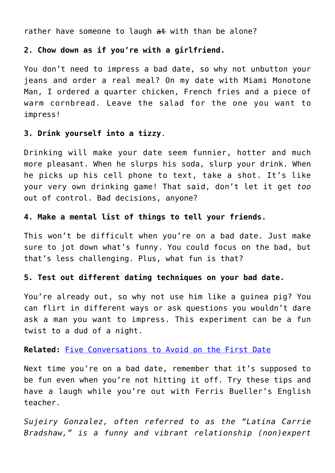rather have someone to laugh at with than be alone?

#### **2. Chow down as if you're with a girlfriend.**

You don't need to impress a bad date, so why not unbutton your jeans and order a real meal? On my date with Miami Monotone Man, I ordered a quarter chicken, French fries and a piece of warm cornbread. Leave the salad for the one you want to impress!

#### **3. Drink yourself into a tizzy**.

Drinking will make your date seem funnier, hotter and much more pleasant. When he slurps his soda, slurp your drink. When he picks up his cell phone to text, take a shot. It's like your very own drinking game! That said, don't let it get *too* out of control. Bad decisions, anyone?

#### **4. Make a mental list of things to tell your friends.**

This won't be difficult when you're on a bad date. Just make sure to jot down what's funny. You could focus on the bad, but that's less challenging. Plus, what fun is that?

#### **5. Test out different dating techniques on your bad date.**

You're already out, so why not use him like a guinea pig? You can flirt in different ways or ask questions you wouldn't dare ask a man you want to impress. This experiment can be a fun twist to a dud of a night.

#### **Related:** [Five Conversations to Avoid on the First Date](http://cupidspulse.com/five-conversations-to-avoid-on-first-date/)

Next time you're on a bad date, remember that it's supposed to be fun even when you're not hitting it off. Try these tips and have a laugh while you're out with Ferris Bueller's English teacher.

*Sujeiry Gonzalez, often referred to as the "Latina Carrie Bradshaw," is a funny and vibrant relationship (non)expert*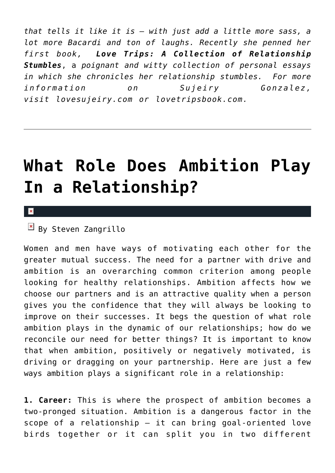*that tells it like it is — with just add a little more sass, a lot more Bacardi and ton of laughs. Recently she penned her first book, Love Trips: A Collection of Relationship Stumbles*, a *poignant and witty collection of personal essays in which she chronicles her relationship stumbles. For more information on Sujeiry Gonzalez, visit lovesujeiry.com or lovetripsbook.com.*

## **[What Role Does Ambition Play](https://cupidspulse.com/31620/what-role-does-ambition-play-in-a-relationship/) [In a Relationship?](https://cupidspulse.com/31620/what-role-does-ambition-play-in-a-relationship/)**

 $\mathbf{x}$ 

### $\boxed{\times}$  By Steven Zangrillo

Women and men have ways of motivating each other for the greater mutual success. The need for a partner with drive and ambition is an overarching common criterion among people looking for healthy relationships. Ambition affects how we choose our partners and is an attractive quality when a person gives you the confidence that they will always be looking to improve on their successes. It begs the question of what role ambition plays in the dynamic of our relationships; how do we reconcile our need for better things? It is important to know that when ambition, positively or negatively motivated, is driving or dragging on your partnership. Here are just a few ways ambition plays a significant role in a relationship:

**1. Career:** This is where the prospect of ambition becomes a two-pronged situation. Ambition is a dangerous factor in the scope of a relationship — it can bring goal-oriented love birds together or it can split you in two different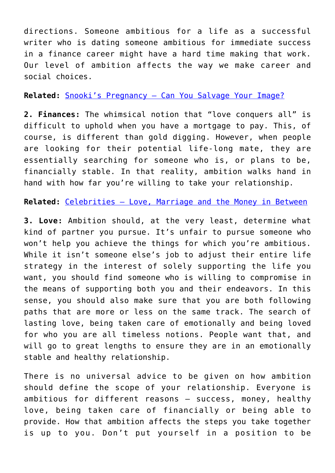directions. Someone ambitious for a life as a successful writer who is dating someone ambitious for immediate success in a finance career might have a hard time making that work. Our level of ambition affects the way we make career and social choices.

#### **Related:** [Snooki's Pregnancy – Can You Salvage Your Image?](http://cupidspulse.com/snooki-pregnancy-salvage-image-career/)

**2. Finances:** The whimsical notion that "love conquers all" is difficult to uphold when you have a mortgage to pay. This, of course, is different than gold digging. However, when people are looking for their potential life-long mate, they are essentially searching for someone who is, or plans to be, financially stable. In that reality, ambition walks hand in hand with how far you're willing to take your relationship.

**Related:** [Celebrities – Love, Marriage and the Money in Between](http://cupidspulse.com/celebrities-love-marriage-money/)

**3. Love:** Ambition should, at the very least, determine what kind of partner you pursue. It's unfair to pursue someone who won't help you achieve the things for which you're ambitious. While it isn't someone else's job to adjust their entire life strategy in the interest of solely supporting the life you want, you should find someone who is willing to compromise in the means of supporting both you and their endeavors. In this sense, you should also make sure that you are both following paths that are more or less on the same track. The search of lasting love, being taken care of emotionally and being loved for who you are all timeless notions. People want that, and will go to great lengths to ensure they are in an emotionally stable and healthy relationship.

There is no universal advice to be given on how ambition should define the scope of your relationship. Everyone is ambitious for different reasons — success, money, healthy love, being taken care of financially or being able to provide. How that ambition affects the steps you take together is up to you. Don't put yourself in a position to be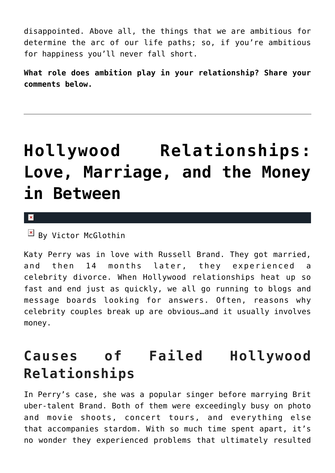disappointed. Above all, the things that we are ambitious for determine the arc of our life paths; so, if you're ambitious for happiness you'll never fall short.

**What role does ambition play in your relationship? Share your comments below.** 

# **[Hollywood Relationships:](https://cupidspulse.com/31526/celebrities-love-marriage-money/) [Love, Marriage, and the Money](https://cupidspulse.com/31526/celebrities-love-marriage-money/) [in Between](https://cupidspulse.com/31526/celebrities-love-marriage-money/)**

 $\pmb{\times}$ 

By Victor McGlothin

Katy Perry was in love with Russell Brand. They got married, and then 14 months later, they experienced a celebrity divorce. When Hollywood relationships heat up so fast and end just as quickly, we all go running to blogs and message boards looking for answers. Often, reasons why celebrity couples break up are obvious…and it usually involves money.

### **Causes of Failed Hollywood Relationships**

In Perry's case, she was a popular singer before marrying Brit uber-talent Brand. Both of them were exceedingly busy on photo and movie shoots, concert tours, and everything else that accompanies stardom. With so much time spent apart, it's no wonder they experienced problems that ultimately resulted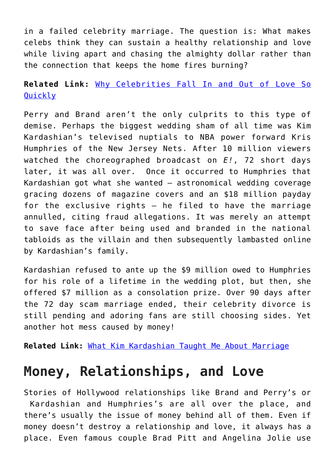in a failed celebrity marriage. The question is: What makes celebs think they can sustain a healthy relationship and love while living apart and chasing the almighty dollar rather than the connection that keeps the home fires burning?

**Related Link:** [Why Celebrities Fall In and Out of Love So](http://cupidspulse.com/why-celebrities-fall-in-out-love-quickly-whirlwind-romance-heartbreak-divorce/) **Ouickly** 

Perry and Brand aren't the only culprits to this type of demise. Perhaps the biggest wedding sham of all time was Kim Kardashian's televised nuptials to NBA power forward Kris Humphries of the New Jersey Nets. After 10 million viewers watched the choreographed broadcast on *E!*, 72 short days later, it was all over. Once it occurred to Humphries that Kardashian got what she wanted — astronomical wedding coverage gracing dozens of magazine covers and an \$18 million payday for the exclusive rights — he filed to have the marriage annulled, citing fraud allegations. It was merely an attempt to save face after being used and branded in the national tabloids as the villain and then subsequently lambasted online by Kardashian's family.

Kardashian refused to ante up the \$9 million owed to Humphries for his role of a lifetime in the wedding plot, but then, she offered \$7 million as a consolation prize. Over 90 days after the 72 day scam marriage ended, their celebrity divorce is still pending and adoring fans are still choosing sides. Yet another hot mess caused by money!

**Related Link:** [What Kim Kardashian Taught Me About Marriage](http://cupidspulse.com/what-kim-kardashian-taught-me-about-marriage-kris-humphries-divorce-wedding-special/)

### **Money, Relationships, and Love**

Stories of Hollywood relationships like Brand and Perry's or Kardashian and Humphries's are all over the place, and there's usually the issue of money behind all of them. Even if money doesn't destroy a relationship and love, it always has a place. Even famous couple Brad Pitt and Angelina Jolie use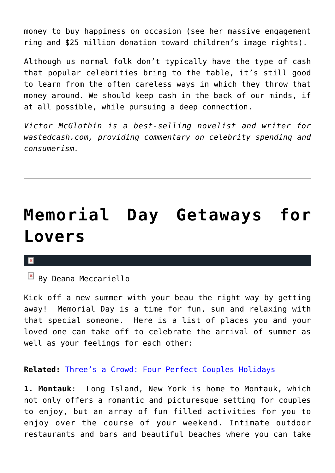money to buy happiness on occasion (see her massive engagement ring and \$25 million donation toward children's image rights).

Although us normal folk don't typically have the type of cash that popular celebrities bring to the table, it's still good to learn from the often careless ways in which they throw that money around. We should keep cash in the back of our minds, if at all possible, while pursuing a deep connection.

*Victor McGlothin is a best-selling novelist and writer for wastedcash.com, providing commentary on celebrity spending and consumerism.* 

# **[Memorial Day Getaways for](https://cupidspulse.com/31401/memorial-day-getaways-for-lovers/) [Lovers](https://cupidspulse.com/31401/memorial-day-getaways-for-lovers/)**

#### $\pmb{\times}$

### $\mathbb{F}$  By Deana Meccariello

Kick off a new summer with your beau the right way by getting away! Memorial Day is a time for fun, sun and relaxing with that special someone. Here is a list of places you and your loved one can take off to celebrate the arrival of summer as well as your feelings for each other:

#### **Related:** [Three's a Crowd: Four Perfect Couples Holidays](http://cupidspulse.com/four-perfect-couples-holidays/#more-30628)

**1. Montauk**: Long Island, New York is home to Montauk, which not only offers a romantic and picturesque setting for couples to enjoy, but an array of fun filled activities for you to enjoy over the course of your weekend. Intimate outdoor restaurants and bars and beautiful beaches where you can take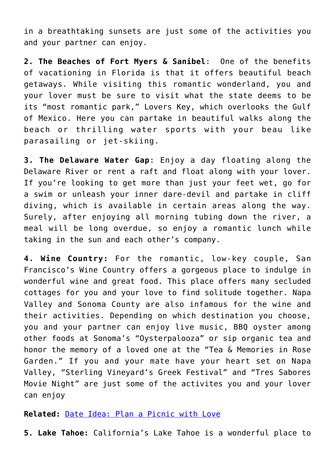in a breathtaking sunsets are just some of the activities you and your partner can enjoy.

**2. The Beaches of Fort Myers & Sanibel**: One of the benefits of vacationing in Florida is that it offers beautiful beach getaways. While visiting this romantic wonderland, you and your lover must be sure to visit what the state deems to be its "most romantic park," Lovers Key, which overlooks the Gulf of Mexico. Here you can partake in beautiful walks along the beach or thrilling water sports with your beau like parasailing or jet-skiing.

**3. The Delaware Water Gap**: Enjoy a day floating along the Delaware River or rent a raft and float along with your lover. If you're looking to get more than just your feet wet, go for a swim or unleash your inner dare-devil and partake in cliff diving, which is available in certain areas along the way. Surely, after enjoying all morning tubing down the river, a meal will be long overdue, so enjoy a romantic lunch while taking in the sun and each other's company.

**4. Wine Country:** For the romantic, low-key couple, San Francisco's Wine Country offers a gorgeous place to indulge in wonderful wine and great food. This place offers many secluded cottages for you and your love to find solitude together. Napa Valley and Sonoma County are also infamous for the wine and their activities. Depending on which destination you choose, you and your partner can enjoy live music, BBQ oyster among other foods at Sonoma's "Oysterpalooza" or sip organic tea and honor the memory of a loved one at the "Tea & Memories in Rose Garden." If you and your mate have your heart set on Napa Valley, "Sterling Vineyard's Greek Festival" and "Tres Sabores Movie Night" are just some of the activites you and your lover can enjoy

**Related:** [Date Idea: Plan a Picnic with Love](http://cupidspulse.com/weekend-affairs-pack-a-picnic-with-love/)

**5. Lake Tahoe:** California's Lake Tahoe is a wonderful place to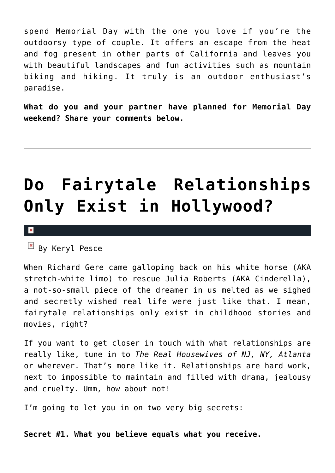spend Memorial Day with the one you love if you're the outdoorsy type of couple. It offers an escape from the heat and fog present in other parts of California and leaves you with beautiful landscapes and fun activities such as mountain biking and hiking. It truly is an outdoor enthusiast's paradise.

**What do you and your partner have planned for Memorial Day weekend? Share your comments below.**

# **[Do Fairytale Relationships](https://cupidspulse.com/31308/fairytale-relationships-exist-outside-hollywood/) [Only Exist in Hollywood?](https://cupidspulse.com/31308/fairytale-relationships-exist-outside-hollywood/)**

#### $\pmb{\times}$

 $\mathbb{F}$  By Keryl Pesce

When Richard Gere came galloping back on his white horse (AKA stretch-white limo) to rescue Julia Roberts (AKA Cinderella), a not-so-small piece of the dreamer in us melted as we sighed and secretly wished real life were just like that. I mean, fairytale relationships only exist in childhood stories and movies, right?

If you want to get closer in touch with what relationships are really like, tune in to *The Real Housewives of NJ, NY, Atlanta* or wherever. That's more like it. Relationships are hard work, next to impossible to maintain and filled with drama, jealousy and cruelty. Umm, how about not!

I'm going to let you in on two very big secrets:

**Secret #1. What you believe equals what you receive.**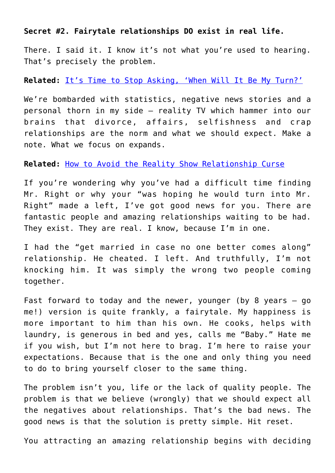#### **Secret #2. Fairytale relationships DO exist in real life.**

There. I said it. I know it's not what you're used to hearing. That's precisely the problem.

**Related:** [It's Time to Stop Asking, 'When Will It Be My Turn?'](http://cupidspulse.com/re-evaluate-your-single-self-and-improve-your-love-life/)

We're bombarded with statistics, negative news stories and a personal thorn in my side — reality TV which hammer into our brains that divorce, affairs, selfishness and crap relationships are the norm and what we should expect. Make a note. What we focus on expands.

**Related:** [How to Avoid the Reality Show Relationship Curse](http://cupidspulse.com/kim-kardashian-kris-humphries-how-to-avoid-reality-show-relationship-curse-jessica-simpson-hulk-hogan-carmen-electra-kate-gosselin/)

If you're wondering why you've had a difficult time finding Mr. Right or why your "was hoping he would turn into Mr. Right" made a left, I've got good news for you. There are fantastic people and amazing relationships waiting to be had. They exist. They are real. I know, because I'm in one.

I had the "get married in case no one better comes along" relationship. He cheated. I left. And truthfully, I'm not knocking him. It was simply the wrong two people coming together.

Fast forward to today and the newer, younger (by 8 years  $-$  go me!) version is quite frankly, a fairytale. My happiness is more important to him than his own. He cooks, helps with laundry, is generous in bed and yes, calls me "Baby." Hate me if you wish, but I'm not here to brag. I'm here to raise your expectations. Because that is the one and only thing you need to do to bring yourself closer to the same thing.

The problem isn't you, life or the lack of quality people. The problem is that we believe (wrongly) that we should expect all the negatives about relationships. That's the bad news. The good news is that the solution is pretty simple. Hit reset.

You attracting an amazing relationship begins with deciding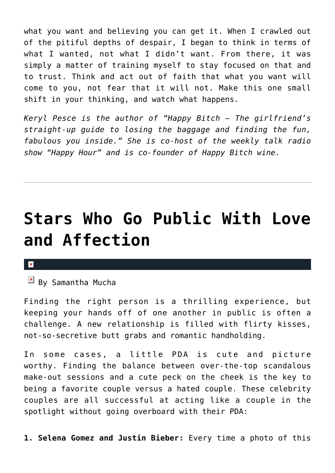what you want and believing you can get it. When I crawled out of the pitiful depths of despair, I began to think in terms of what I wanted, not what I didn't want. From there, it was simply a matter of training myself to stay focused on that and to trust. Think and act out of faith that what you want will come to you, not fear that it will not. Make this one small shift in your thinking, and watch what happens.

*Keryl Pesce is the author of "Happy Bitch — The girlfriend's straight-up guide to losing the baggage and finding the fun, fabulous you inside." She is co-host of the weekly talk radio show "Happy Hour" and is co-founder of Happy Bitch wine.* 

### **[Stars Who Go Public With Love](https://cupidspulse.com/30188/stars-who-go-public-with-love-and-affection/) [and Affection](https://cupidspulse.com/30188/stars-who-go-public-with-love-and-affection/)**

#### $\pmb{\times}$

### $\mathbb{E}$  By Samantha Mucha

Finding the right person is a thrilling experience, but keeping your hands off of one another in public is often a challenge. A new relationship is filled with flirty kisses, not-so-secretive butt grabs and romantic handholding.

In some cases, a little PDA is cute and picture worthy. Finding the balance between over-the-top scandalous make-out sessions and a cute peck on the cheek is the key to being a favorite couple versus a hated couple. These celebrity couples are all successful at acting like a couple in the spotlight without going overboard with their PDA:

**1. Selena Gomez and Justin Bieber:** Every time a photo of this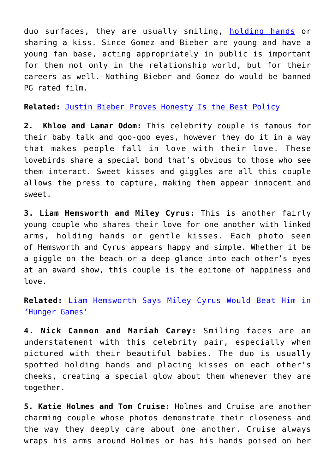duo surfaces, they are usually smiling, [holding hands](http://cupidspulse.com/caught-justin-bieber-and-selena-gomez-holding-hands/) or sharing a kiss. Since Gomez and Bieber are young and have a young fan base, acting appropriately in public is important for them not only in the relationship world, but for their careers as well. Nothing Bieber and Gomez do would be banned PG rated film.

**Related:** [Justin Bieber Proves Honesty Is the Best Policy](http://cupidspulse.com/justin-bieber-proves-honesty-best-policy/)

**2. Khloe and Lamar Odom:** This celebrity couple is famous for their baby talk and goo-goo eyes, however they do it in a way that makes people fall in love with their love. These lovebirds share a special bond that's obvious to those who see them interact. Sweet kisses and giggles are all this couple allows the press to capture, making them appear innocent and sweet.

**3. Liam Hemsworth and Miley Cyrus:** This is another fairly young couple who shares their love for one another with linked arms, holding hands or gentle kisses. Each photo seen of Hemsworth and Cyrus appears happy and simple. Whether it be a giggle on the beach or a deep glance into each other's eyes at an award show, this couple is the epitome of happiness and love.

**Related:** [Liam Hemsworth Says Miley Cyrus Would Beat Him in](http://cupidspulse.com/actor-liam-hemsworth-girlfriend-miley-cyrus-beat-him-hunger-games-movie/) ['Hunger Games'](http://cupidspulse.com/actor-liam-hemsworth-girlfriend-miley-cyrus-beat-him-hunger-games-movie/)

**4. Nick Cannon and Mariah Carey:** Smiling faces are an understatement with this celebrity pair, especially when pictured with their beautiful babies. The duo is usually spotted holding hands and placing kisses on each other's cheeks, creating a special glow about them whenever they are together.

**5. Katie Holmes and Tom Cruise:** Holmes and Cruise are another charming couple whose photos demonstrate their closeness and the way they deeply care about one another. Cruise always wraps his arms around Holmes or has his hands poised on her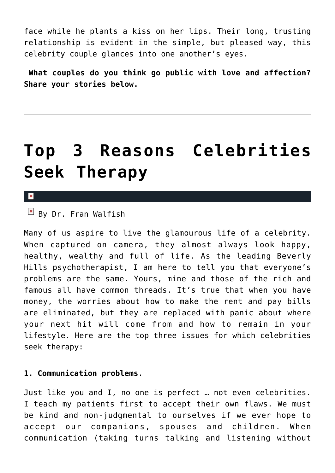face while he plants a kiss on her lips. Their long, trusting relationship is evident in the simple, but pleased way, this celebrity couple glances into one another's eyes.

 **What couples do you think go public with love and affection? Share your stories below.**

### **[Top 3 Reasons Celebrities](https://cupidspulse.com/31224/top-reasons-celebrities-seek-therapy/) [Seek Therapy](https://cupidspulse.com/31224/top-reasons-celebrities-seek-therapy/)**

 $\mathbf{x}$ 

### $\overline{B}$  By Dr. Fran Walfish

Many of us aspire to live the glamourous life of a celebrity. When captured on camera, they almost always look happy, healthy, wealthy and full of life. As the leading Beverly Hills psychotherapist, I am here to tell you that everyone's problems are the same. Yours, mine and those of the rich and famous all have common threads. It's true that when you have money, the worries about how to make the rent and pay bills are eliminated, but they are replaced with panic about where your next hit will come from and how to remain in your lifestyle. Here are the top three issues for which celebrities seek therapy:

#### **1. Communication problems.**

Just like you and I, no one is perfect … not even celebrities. I teach my patients first to accept their own flaws. We must be kind and non-judgmental to ourselves if we ever hope to accept our companions, spouses and children. When communication (taking turns talking and listening without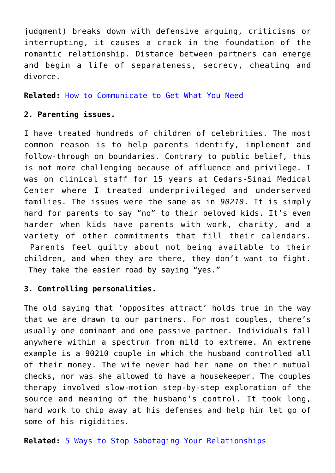judgment) breaks down with defensive arguing, criticisms or interrupting, it causes a crack in the foundation of the romantic relationship. Distance between partners can emerge and begin a life of separateness, secrecy, cheating and divorce.

**Related:** [How to Communicate to Get What You Need](http://cupidspulse.com/how-to-communicate-get-need-galtime-communication-boundaries/)

### **2. Parenting issues.**

I have treated hundreds of children of celebrities. The most common reason is to help parents identify, implement and follow-through on boundaries. Contrary to public belief, this is not more challenging because of affluence and privilege. I was on clinical staff for 15 years at Cedars-Sinai Medical Center where I treated underprivileged and underserved families. The issues were the same as in *90210*. It is simply hard for parents to say "no" to their beloved kids. It's even harder when kids have parents with work, charity, and a variety of other commitments that fill their calendars. Parents feel guilty about not being available to their children, and when they are there, they don't want to fight. They take the easier road by saying "yes."

#### **3. Controlling personalities.**

The old saying that 'opposites attract' holds true in the way that we are drawn to our partners. For most couples, there's usually one dominant and one passive partner. Individuals fall anywhere within a spectrum from mild to extreme. An extreme example is a 90210 couple in which the husband controlled all of their money. The wife never had her name on their mutual checks, nor was she allowed to have a housekeeper. The couples therapy involved slow-motion step-by-step exploration of the source and meaning of the husband's control. It took long, hard work to chip away at his defenses and help him let go of some of his rigidities.

#### **Related:** [5 Ways to Stop Sabotaging Your Relationships](http://cupidspulse.com/5-tips-advic-bad-habits-sabotage-relationships-dating-advice/)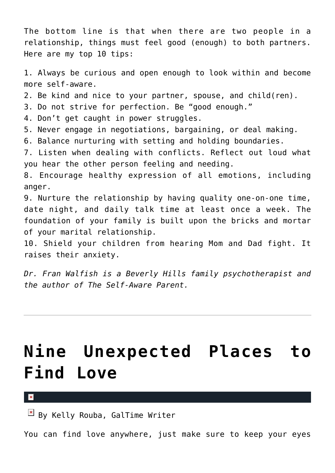The bottom line is that when there are two people in a relationship, things must feel good (enough) to both partners. Here are my top 10 tips:

1. Always be curious and open enough to look within and become more self-aware.

2. Be kind and nice to your partner, spouse, and child(ren).

3. Do not strive for perfection. Be "good enough."

4. Don't get caught in power struggles.

5. Never engage in negotiations, bargaining, or deal making.

6. Balance nurturing with setting and holding boundaries.

7. Listen when dealing with conflicts. Reflect out loud what you hear the other person feeling and needing.

8. Encourage healthy expression of all emotions, including anger.

9. Nurture the relationship by having quality one-on-one time, date night, and daily talk time at least once a week. The foundation of your family is built upon the bricks and mortar of your marital relationship.

10. Shield your children from hearing Mom and Dad fight. It raises their anxiety.

*Dr. Fran Walfish is a Beverly Hills family psychotherapist and the author of The Self-Aware Parent.*

# **[Nine Unexpected Places to](https://cupidspulse.com/30827/nine-unexpected-places-find-love/) [Find Love](https://cupidspulse.com/30827/nine-unexpected-places-find-love/)**

 $\pmb{\times}$ 

 $\overline{B}$  By Kelly Rouba, GalTime Writer

You can find love anywhere, just make sure to keep your eyes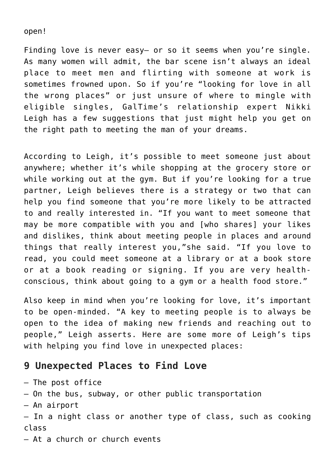#### open!

Finding love is never easy– or so it seems when you're single. As many women will admit, the bar scene isn't always an ideal place to meet men and flirting with someone at work is sometimes frowned upon. So if you're "looking for love in all the wrong places" or just unsure of where to mingle with eligible singles, GalTime's relationship expert Nikki Leigh has a few suggestions that just might help you get on the right path to meeting the man of your dreams.

According to Leigh, it's possible to meet someone just about anywhere; whether it's while shopping at the grocery store or while working out at the gym. But if you're looking for a true partner, Leigh believes there is a strategy or two that can help you find someone that you're more likely to be attracted to and really interested in. "If you want to meet someone that may be more compatible with you and [who shares] your likes and dislikes, think about meeting people in places and around things that really interest you,"she said. "If you love to read, you could meet someone at a library or at a book store or at a book reading or signing. If you are very healthconscious, think about going to a gym or a health food store."

Also keep in mind when you're looking for love, it's important to be open-minded. "A key to meeting people is to always be open to the idea of making new friends and reaching out to people," Leigh asserts. Here are some more of Leigh's tips with helping you find love in unexpected places:

### **9 Unexpected Places to Find Love**

- The post office
- On the bus, subway, or other public transportation
- An airport

– In a night class or another type of class, such as cooking class

– At a church or church events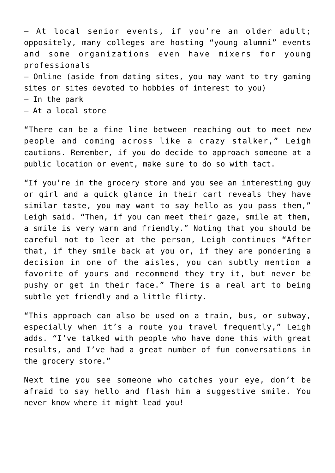– At local senior events, if you're an older adult; oppositely, many colleges are hosting "young alumni" events and some organizations even have mixers for young professionals – Online (aside from dating sites, you may want to try gaming

sites or sites devoted to hobbies of interest to you)

– In the park

– At a local store

"There can be a fine line between reaching out to meet new people and coming across like a crazy stalker," Leigh cautions. Remember, if you do decide to approach someone at a public location or event, make sure to do so with tact.

"If you're in the grocery store and you see an interesting guy or girl and a quick glance in their cart reveals they have similar taste, you may want to say hello as you pass them," Leigh said. "Then, if you can meet their gaze, smile at them, a smile is very warm and friendly." Noting that you should be careful not to leer at the person, Leigh continues "After that, if they smile back at you or, if they are pondering a decision in one of the aisles, you can subtly mention a favorite of yours and recommend they try it, but never be pushy or get in their face." There is a real art to being subtle yet friendly and a little flirty.

"This approach can also be used on a train, bus, or subway, especially when it's a route you travel frequently," Leigh adds. "I've talked with people who have done this with great results, and I've had a great number of fun conversations in the grocery store."

Next time you see someone who catches your eye, don't be afraid to say hello and flash him a suggestive smile. You never know where it might lead you!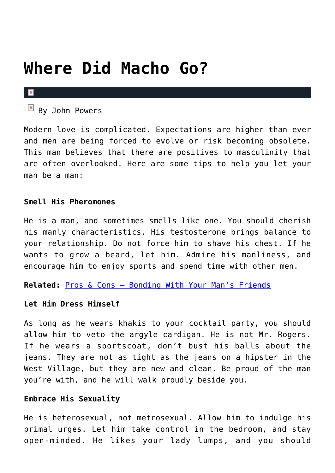### **[Where Did Macho Go?](https://cupidspulse.com/31054/where-did-macho-go-tips-to-let-man-be-man/)**

#### $\pmb{\times}$

 $\boxed{\times}$  By John Powers

Modern love is complicated. Expectations are higher than ever and men are being forced to evolve or risk becoming obsolete. This man believes that there are positives to masculinity that are often overlooked. Here are some tips to help you let your man be a man:

#### **Smell His Pheromones**

He is a man, and sometimes smells like one. You should cherish his manly characteristics. His testosterone brings balance to your relationship. Do not force him to shave his chest. If he wants to grow a beard, let him. Admire his manliness, and encourage him to enjoy sports and spend time with other men.

**Related:** [Pros & Cons – Bonding With Your Man's Friends](http://cupidspulse.com/pros-cons-bonding-mans-friends/)

#### **Let Him Dress Himself**

As long as he wears khakis to your cocktail party, you should allow him to veto the argyle cardigan. He is not Mr. Rogers. If he wears a sportscoat, don't bust his balls about the jeans. They are not as tight as the jeans on a hipster in the West Village, but they are new and clean. Be proud of the man you're with, and he will walk proudly beside you.

### **Embrace His Sexuality**

He is heterosexual, not metrosexual. Allow him to indulge his primal urges. Let him take control in the bedroom, and stay open-minded. He likes your lady lumps, and you should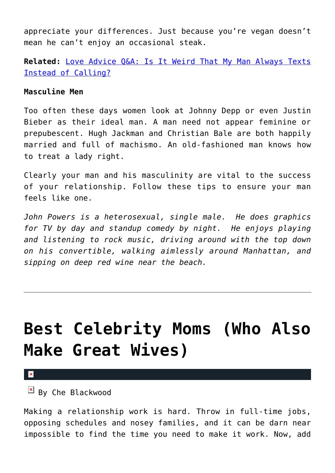appreciate your differences. Just because you're vegan doesn't mean he can't enjoy an occasional steak.

**Related:** [Love Advice Q&A: Is It Weird That My Man Always Texts](http://cupidspulse.com/88642/love-advice-texting-instead-of-calling-dating-experts/) [Instead of Calling?](http://cupidspulse.com/88642/love-advice-texting-instead-of-calling-dating-experts/)

### **Masculine Men**

Too often these days women look at Johnny Depp or even Justin Bieber as their ideal man. A man need not appear feminine or prepubescent. Hugh Jackman and Christian Bale are both happily married and full of machismo. An old-fashioned man knows how to treat a lady right.

Clearly your man and his masculinity are vital to the success of your relationship. Follow these tips to ensure your man feels like one.

*John Powers is a heterosexual, single male. He does graphics for TV by day and standup comedy by night. He enjoys playing and listening to rock music, driving around with the top down on his convertible, walking aimlessly around Manhattan, and sipping on deep red wine near the beach.*

# **[Best Celebrity Moms \(Who Also](https://cupidspulse.com/30997/best-celebrity-moms-great-wives-mothers-day/) [Make Great Wives\)](https://cupidspulse.com/30997/best-celebrity-moms-great-wives-mothers-day/)**

 $\pmb{\times}$ 

 $\mathbb{E}$  By Che Blackwood

Making a relationship work is hard. Throw in full-time jobs, opposing schedules and nosey families, and it can be darn near impossible to find the time you need to make it work. Now, add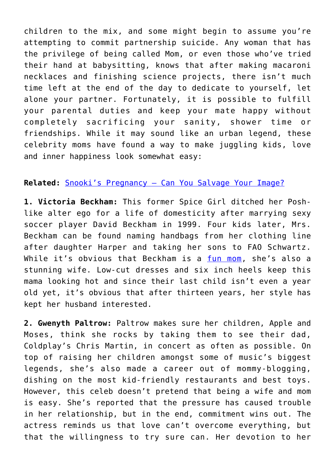children to the mix, and some might begin to assume you're attempting to commit partnership suicide. Any woman that has the privilege of being called Mom, or even those who've tried their hand at babysitting, knows that after making macaroni necklaces and finishing science projects, there isn't much time left at the end of the day to dedicate to yourself, let alone your partner. Fortunately, it is possible to fulfill your parental duties and keep your mate happy without completely sacrificing your sanity, shower time or friendships. While it may sound like an urban legend, these celebrity moms have found a way to make juggling kids, love and inner happiness look somewhat easy:

#### **Related:** [Snooki's Pregnancy — Can You Salvage Your Image?](http://cupidspulse.com/snooki-pregnancy-salvage-image-career/)

**1. Victoria Beckham:** This former Spice Girl ditched her Poshlike alter ego for a life of domesticity after marrying sexy soccer player David Beckham in 1999. Four kids later, Mrs. Beckham can be found naming handbags from her clothing line after daughter Harper and taking her sons to FAO Schwartz. While it's obvious that Beckham is a [fun mom,](http://cupidspulse.com/fashion-icon-victoria-beckham-discusses-working-mom-fashion-week-nyc/) she's also a stunning wife. Low-cut dresses and six inch heels keep this mama looking hot and since their last child isn't even a year old yet, it's obvious that after thirteen years, her style has kept her husband interested.

**2. Gwenyth Paltrow:** Paltrow makes sure her children, Apple and Moses, think she rocks by taking them to see their dad, Coldplay's Chris Martin, in concert as often as possible. On top of raising her children amongst some of music's biggest legends, she's also made a career out of mommy-blogging, dishing on the most kid-friendly restaurants and best toys. However, this celeb doesn't pretend that being a wife and mom is easy. She's reported that the pressure has caused trouble in her relationship, but in the end, commitment wins out. The actress reminds us that love can't overcome everything, but that the willingness to try sure can. Her devotion to her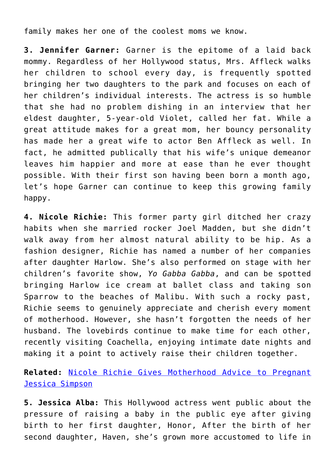family makes her one of the coolest moms we know.

**3. Jennifer Garner:** Garner is the epitome of a laid back mommy. Regardless of her Hollywood status, Mrs. Affleck walks her children to school every day, is frequently spotted bringing her two daughters to the park and focuses on each of her children's individual interests. The actress is so humble that she had no problem dishing in an interview that her eldest daughter, 5-year-old Violet, called her fat. While a great attitude makes for a great mom, her bouncy personality has made her a great wife to actor Ben Affleck as well. In fact, he admitted publically that his wife's unique demeanor leaves him happier and more at ease than he ever thought possible. With their first son having been born a month ago, let's hope Garner can continue to keep this growing family happy.

**4. Nicole Richie:** This former party girl ditched her crazy habits when she married rocker Joel Madden, but she didn't walk away from her almost natural ability to be hip. As a fashion designer, Richie has named a number of her companies after daughter Harlow. She's also performed on stage with her children's favorite show, *Yo Gabba Gabba*, and can be spotted bringing Harlow ice cream at ballet class and taking son Sparrow to the beaches of Malibu. With such a rocky past, Richie seems to genuinely appreciate and cherish every moment of motherhood. However, she hasn't forgotten the needs of her husband. The lovebirds continue to make time for each other, recently visiting Coachella, enjoying intimate date nights and making it a point to actively raise their children together.

**Related:** [Nicole Richie Gives Motherhood Advice to Pregnant](http://cupidspulse.com/fashion-star-nicole-richie-motherhood-advice-to-pregnant-jessica-simpson/) [Jessica Simpson](http://cupidspulse.com/fashion-star-nicole-richie-motherhood-advice-to-pregnant-jessica-simpson/)

**5. Jessica Alba:** This Hollywood actress went public about the pressure of raising a baby in the public eye after giving birth to her first daughter, Honor, After the birth of her second daughter, Haven, she's grown more accustomed to life in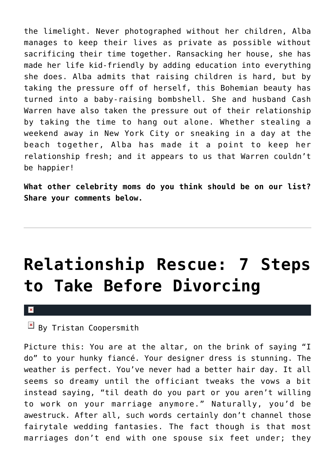the limelight. Never photographed without her children, Alba manages to keep their lives as private as possible without sacrificing their time together. Ransacking her house, she has made her life kid-friendly by adding education into everything she does. Alba admits that raising children is hard, but by taking the pressure off of herself, this Bohemian beauty has turned into a baby-raising bombshell. She and husband Cash Warren have also taken the pressure out of their relationship by taking the time to hang out alone. Whether stealing a weekend away in New York City or sneaking in a day at the beach together, Alba has made it a point to keep her relationship fresh; and it appears to us that Warren couldn't be happier!

**What other celebrity moms do you think should be on our list? Share your comments below.**

# **[Relationship Rescue: 7 Steps](https://cupidspulse.com/30978/relationship-rescue-7-steps-to-take-before-divorcing/) [to Take Before Divorcing](https://cupidspulse.com/30978/relationship-rescue-7-steps-to-take-before-divorcing/)**

 $\mathbf{x}$ 

 $\mathbb{F}$  By Tristan Coopersmith

Picture this: You are at the altar, on the brink of saying "I do" to your hunky fiancé. Your designer dress is stunning. The weather is perfect. You've never had a better hair day. It all seems so dreamy until the officiant tweaks the vows a bit instead saying, "til death do you part or you aren't willing to work on your marriage anymore." Naturally, you'd be awestruck. After all, such words certainly don't channel those fairytale wedding fantasies. The fact though is that most marriages don't end with one spouse six feet under; they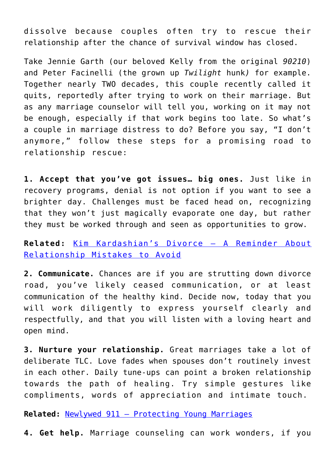dissolve because couples often try to rescue their relationship after the chance of survival window has closed.

Take Jennie Garth (our beloved Kelly from the original *90210*) and Peter Facinelli (the grown up *Twilight* hunk*)* for example. Together nearly TWO decades, this couple recently called it quits, reportedly after trying to work on their marriage. But as any marriage counselor will tell you, working on it may not be enough, especially if that work begins too late. So what's a couple in marriage distress to do? Before you say, "I don't anymore," follow these steps for a promising road to relationship rescue:

**1. Accept that you've got issues… big ones.** Just like in recovery programs, denial is not option if you want to see a brighter day. Challenges must be faced head on, recognizing that they won't just magically evaporate one day, but rather they must be worked through and seen as opportunities to grow.

**Related:** [Kim Kardashian's Divorce – A Reminder About](http://cupidspulse.com/kim-kardashian-divorce-reminder-relationship-mistakes-avoid-kris-humphries-marriage-split-breakup/) [Relationship Mistakes to Avoid](http://cupidspulse.com/kim-kardashian-divorce-reminder-relationship-mistakes-avoid-kris-humphries-marriage-split-breakup/)

**2. Communicate.** Chances are if you are strutting down divorce road, you've likely ceased communication, or at least communication of the healthy kind. Decide now, today that you will work diligently to express yourself clearly and respectfully, and that you will listen with a loving heart and open mind.

**3. Nurture your relationship.** Great marriages take a lot of deliberate TLC. Love fades when spouses don't routinely invest in each other. Daily tune-ups can point a broken relationship towards the path of healing. Try simple gestures like compliments, words of appreciation and intimate touch.

**Related:** [Newlywed 911 – Protecting Young Marriages](http://cupidspulse.com/newlywed-911-protecting-young-marriages/)

**4. Get help.** Marriage counseling can work wonders, if you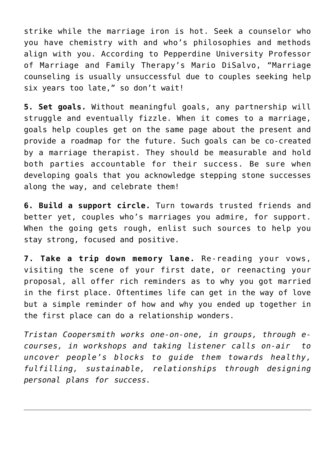strike while the marriage iron is hot. Seek a counselor who you have chemistry with and who's philosophies and methods align with you. According to Pepperdine University Professor of Marriage and Family Therapy's Mario DiSalvo, "Marriage counseling is usually unsuccessful due to couples seeking help six years too late," so don't wait!

**5. Set goals.** Without meaningful goals, any partnership will struggle and eventually fizzle. When it comes to a marriage, goals help couples get on the same page about the present and provide a roadmap for the future. Such goals can be co-created by a marriage therapist. They should be measurable and hold both parties accountable for their success. Be sure when developing goals that you acknowledge stepping stone successes along the way, and celebrate them!

**6. Build a support circle.** Turn towards trusted friends and better yet, couples who's marriages you admire, for support. When the going gets rough, enlist such sources to help you stay strong, focused and positive.

**7. Take a trip down memory lane.** Re-reading your vows, visiting the scene of your first date, or reenacting your proposal, all offer rich reminders as to why you got married in the first place. Oftentimes life can get in the way of love but a simple reminder of how and why you ended up together in the first place can do a relationship wonders.

*Tristan Coopersmith works one-on-one, in groups, through ecourses, in workshops and taking listener calls on-air to uncover people's blocks to guide them towards healthy, fulfilling, sustainable, relationships through designing personal plans for success.*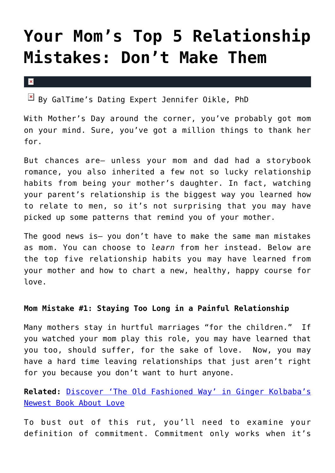### **[Your Mom's Top 5 Relationship](https://cupidspulse.com/30815/mom-top-5-relationship-mistakes/) [Mistakes: Don't Make Them](https://cupidspulse.com/30815/mom-top-5-relationship-mistakes/)**

 $\vert \mathbf{x} \vert$ 

 $\mathbb{E}$  By GalTime's Dating Expert Jennifer Oikle, PhD

With Mother's Day around the corner, you've probably got mom on your mind. Sure, you've got a million things to thank her for.

But chances are– unless your mom and dad had a storybook romance, you also inherited a few not so lucky relationship habits from being your mother's daughter. In fact, watching your parent's relationship is the biggest way you learned how to relate to men, so it's not surprising that you may have picked up some patterns that remind you of your mother.

The good news is– you don't have to make the same man mistakes as mom. You can choose to *learn* from her instead. Below are the top five relationship habits you may have learned from your mother and how to chart a new, healthy, happy course for love.

#### **Mom Mistake #1: Staying Too Long in a Painful Relationship**

Many mothers stay in hurtful marriages "for the children." If you watched your mom play this role, you may have learned that you too, should suffer, for the sake of love. Now, you may have a hard time leaving relationships that just aren't right for you because you don't want to hurt anyone.

**Related:** [Discover 'The Old Fashioned Way' in Ginger Kolbaba's](http://Discover ‘The Old Fashioned Way’ in Ginger Kolbaba’s Newest Book About Love Read more at http://cupidspulse.com/86016/ginger-kolbaba-the-old-fashioned-way-book-about-love/#FxRoef5gvs5el0d0.99) [Newest Book About Love](http://Discover ‘The Old Fashioned Way’ in Ginger Kolbaba’s Newest Book About Love Read more at http://cupidspulse.com/86016/ginger-kolbaba-the-old-fashioned-way-book-about-love/#FxRoef5gvs5el0d0.99)

To bust out of this rut, you'll need to examine your definition of commitment. Commitment only works when it's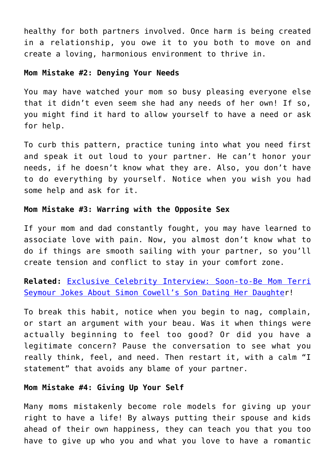healthy for both partners involved. Once harm is being created in a relationship, you owe it to you both to move on and create a loving, harmonious environment to thrive in.

#### **Mom Mistake #2: Denying Your Needs**

You may have watched your mom so busy pleasing everyone else that it didn't even seem she had any needs of her own! If so, you might find it hard to allow yourself to have a need or ask for help.

To curb this pattern, practice tuning into what you need first and speak it out loud to your partner. He can't honor your needs, if he doesn't know what they are. Also, you don't have to do everything by yourself. Notice when you wish you had some help and ask for it.

#### **Mom Mistake #3: Warring with the Opposite Sex**

If your mom and dad constantly fought, you may have learned to associate love with pain. Now, you almost don't know what to do if things are smooth sailing with your partner, so you'll create tension and conflict to stay in your comfort zone.

**Related:** [Exclusive Celebrity Interview: Soon-to-Be Mom Terri](http://cupidspulse.com/87901/celebrity-interview-terri-seymour-pregnancy-baby-simon-cowell/) [Seymour Jokes About Simon Cowell's Son Dating Her Daughter](http://cupidspulse.com/87901/celebrity-interview-terri-seymour-pregnancy-baby-simon-cowell/)!

To break this habit, notice when you begin to nag, complain, or start an argument with your beau. Was it when things were actually beginning to feel too good? Or did you have a legitimate concern? Pause the conversation to see what you really think, feel, and need. Then restart it, with a calm "I statement" that avoids any blame of your partner.

#### **Mom Mistake #4: Giving Up Your Self**

Many moms mistakenly become role models for giving up your right to have a life! By always putting their spouse and kids ahead of their own happiness, they can teach you that you too have to give up who you and what you love to have a romantic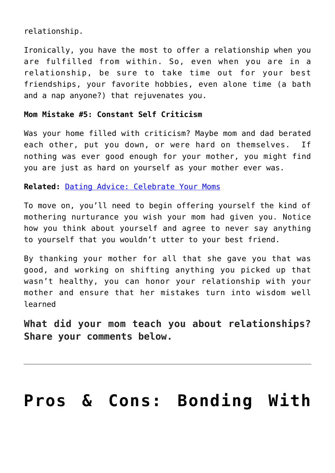relationship.

Ironically, you have the most to offer a relationship when you are fulfilled from within. So, even when you are in a relationship, be sure to take time out for your best friendships, your favorite hobbies, even alone time (a bath and a nap anyone?) that rejuvenates you.

#### **Mom Mistake #5: Constant Self Criticism**

Was your home filled with criticism? Maybe mom and dad berated each other, put you down, or were hard on themselves. If nothing was ever good enough for your mother, you might find you are just as hard on yourself as your mother ever was.

**Related:** [Dating Advice: Celebrate Your Moms](http://cupidspulse.com/81505/dating-advice-mothers-day/)

To move on, you'll need to begin offering yourself the kind of mothering nurturance you wish your mom had given you. Notice how you think about yourself and agree to never say anything to yourself that you wouldn't utter to your best friend.

By thanking your mother for all that she gave you that was good, and working on shifting anything you picked up that wasn't healthy, you can honor your relationship with your mother and ensure that her mistakes turn into wisdom well learned

**What did your mom teach you about relationships? Share your comments below.**

### **[Pros & Cons: Bonding With](https://cupidspulse.com/30378/pros-cons-bonding-mans-friends/)**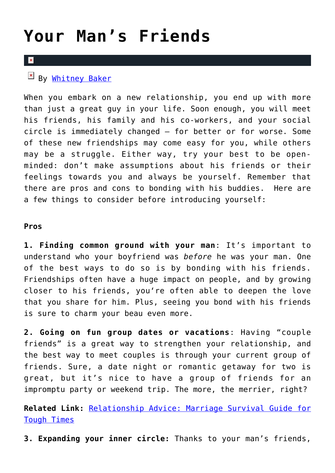## **[Your Man's Friends](https://cupidspulse.com/30378/pros-cons-bonding-mans-friends/)**

#### $\mathbf{R}$

### By [Whitney Baker](http://cupidspulse.com/search-results/?q=Whitney+Baker)

When you embark on a new relationship, you end up with more than just a great guy in your life. Soon enough, you will meet his friends, his family and his co-workers, and your social circle is immediately changed — for better or for worse. Some of these new friendships may come easy for you, while others may be a struggle. Either way, try your best to be openminded: don't make assumptions about his friends or their feelings towards you and always be yourself. Remember that there are pros and cons to bonding with his buddies. Here are a few things to consider before introducing yourself:

#### **Pros**

**1. Finding common ground with your man**: It's important to understand who your boyfriend was *before* he was your man. One of the best ways to do so is by bonding with his friends. Friendships often have a huge impact on people, and by growing closer to his friends, you're often able to deepen the love that you share for him. Plus, seeing you bond with his friends is sure to charm your beau even more.

**2. Going on fun group dates or vacations**: Having "couple friends" is a great way to strengthen your relationship, and the best way to meet couples is through your current group of friends. Sure, a date night or romantic getaway for two is great, but it's nice to have a group of friends for an impromptu party or weekend trip. The more, the merrier, right?

**Related Link:** [Relationship Advice: Marriage Survival Guide for](http://cupidspulse.com/100208/relationship-advice-marriage-survival-tough-times/) [Tough Times](http://cupidspulse.com/100208/relationship-advice-marriage-survival-tough-times/)

**3. Expanding your inner circle:** Thanks to your man's friends,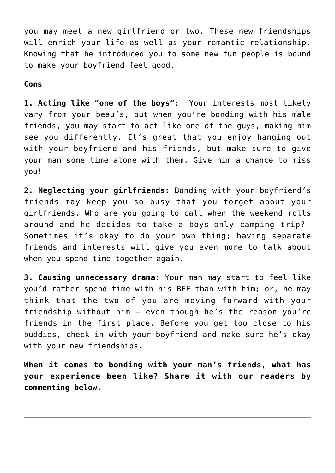you may meet a new girlfriend or two. These new friendships will enrich your life as well as your romantic relationship. Knowing that he introduced you to some new fun people is bound to make your boyfriend feel good.

#### **Cons**

**1. Acting like "one of the boys"**: Your interests most likely vary from your beau's, but when you're bonding with his male friends, you may start to act like one of the guys, making him see you differently. It's great that you enjoy hanging out with your boyfriend and his friends, but make sure to give your man some time alone with them. Give him a chance to miss you!

**2. Neglecting your girlfriends:** Bonding with your boyfriend's friends may keep you so busy that you forget about your girlfriends. Who are you going to call when the weekend rolls around and he decides to take a boys-only camping trip? Sometimes it's okay to do your own thing; having separate friends and interests will give you even more to talk about when you spend time together again.

**3. Causing unnecessary drama**: Your man may start to feel like you'd rather spend time with his BFF than with him; or, he may think that the two of you are moving forward with your friendship without him — even though he's the reason you're friends in the first place. Before you get too close to his buddies, check in with your boyfriend and make sure he's okay with your new friendships.

**When it comes to bonding with your man's friends, what has your experience been like? Share it with our readers by commenting below.**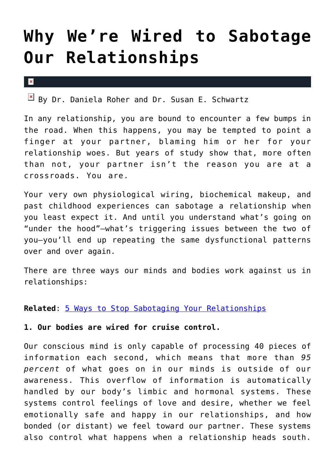### **[Why We're Wired to Sabotage](https://cupidspulse.com/30849/why-were-wired-sabotage-relationships/) [Our Relationships](https://cupidspulse.com/30849/why-were-wired-sabotage-relationships/)**

 $\pmb{\times}$ 

 $\boxed{\times}$  By Dr. Daniela Roher and Dr. Susan E. Schwartz

In any relationship, you are bound to encounter a few bumps in the road. When this happens, you may be tempted to point a finger at your partner, blaming him or her for your relationship woes. But years of study show that, more often than not, your partner isn't the reason you are at a crossroads. You are.

Your very own physiological wiring, biochemical makeup, and past childhood experiences can sabotage a relationship when you least expect it. And until you understand what's going on "under the hood"–what's triggering issues between the two of you–you'll end up repeating the same dysfunctional patterns over and over again.

There are three ways our minds and bodies work against us in relationships:

#### **Related**: [5 Ways to Stop Sabotaging Your Relationships](http://cupidspulse.com/5-tips-advic-bad-habits-sabotage-relationships-dating-advice/)

#### **1. Our bodies are wired for cruise control.**

Our conscious mind is only capable of processing 40 pieces of information each second, which means that more than *95 percent* of what goes on in our minds is outside of our awareness. This overflow of information is automatically handled by our body's limbic and hormonal systems. These systems control feelings of love and desire, whether we feel emotionally safe and happy in our relationships, and how bonded (or distant) we feel toward our partner. These systems also control what happens when a relationship heads south.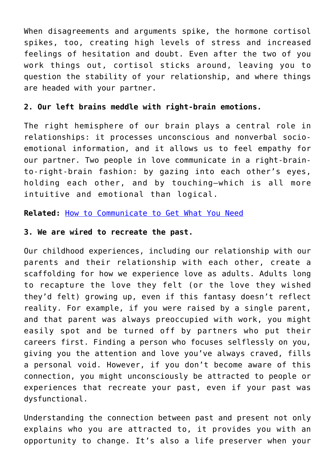When disagreements and arguments spike, the hormone cortisol spikes, too, creating high levels of stress and increased feelings of hesitation and doubt. Even after the two of you work things out, cortisol sticks around, leaving you to question the stability of your relationship, and where things are headed with your partner.

### **2. Our left brains meddle with right-brain emotions.**

The right hemisphere of our brain plays a central role in relationships: it processes unconscious and nonverbal socioemotional information, and it allows us to feel empathy for our partner. Two people in love communicate in a right-brainto-right-brain fashion: by gazing into each other's eyes, holding each other, and by touching–which is all more intuitive and emotional than logical.

**Related:** [How to Communicate to Get What You Need](http://cupidspulse.com/how-to-communicate-get-need-galtime-communication-boundaries/)

#### **3. We are wired to recreate the past.**

Our childhood experiences, including our relationship with our parents and their relationship with each other, create a scaffolding for how we experience love as adults. Adults long to recapture the love they felt (or the love they wished they'd felt) growing up, even if this fantasy doesn't reflect reality. For example, if you were raised by a single parent, and that parent was always preoccupied with work, you might easily spot and be turned off by partners who put their careers first. Finding a person who focuses selflessly on you, giving you the attention and love you've always craved, fills a personal void. However, if you don't become aware of this connection, you might unconsciously be attracted to people or experiences that recreate your past, even if your past was dysfunctional.

Understanding the connection between past and present not only explains who you are attracted to, it provides you with an opportunity to change. It's also a life preserver when your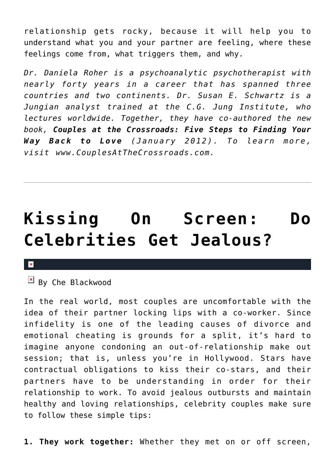relationship gets rocky, because it will help you to understand what you and your partner are feeling, where these feelings come from, what triggers them, and why.

*Dr. Daniela Roher is a psychoanalytic psychotherapist with nearly forty years in a career that has spanned three countries and two continents. Dr. Susan E. Schwartz is a Jungian analyst trained at the C.G. Jung Institute, who lectures worldwide. Together, they have co-authored the new book, Couples at the Crossroads: Five Steps to Finding Your Way Back to Love (January 2012). To learn more, visit www.CouplesAtTheCrossroads.com.*

# **[Kissing On Screen: Do](https://cupidspulse.com/30787/kissing-on-screen-celebrities-jealous/) [Celebrities Get Jealous?](https://cupidspulse.com/30787/kissing-on-screen-celebrities-jealous/)**

#### $\pmb{\times}$

 $\boxed{\times}$  By Che Blackwood

In the real world, most couples are uncomfortable with the idea of their partner locking lips with a co-worker. Since infidelity is one of the leading causes of divorce and emotional cheating is grounds for a split, it's hard to imagine anyone condoning an out-of-relationship make out session; that is, unless you're in Hollywood. Stars have contractual obligations to kiss their co-stars, and their partners have to be understanding in order for their relationship to work. To avoid jealous outbursts and maintain healthy and loving relationships, celebrity couples make sure to follow these simple tips:

**1. They work together:** Whether they met on or off screen,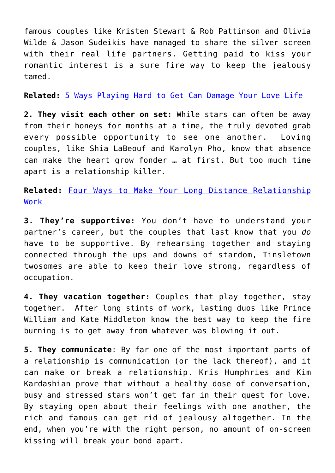famous couples like Kristen Stewart & Rob Pattinson and Olivia Wilde & Jason Sudeikis have managed to share the silver screen with their real life partners. Getting paid to kiss your romantic interest is a sure fire way to keep the jealousy tamed.

**Related:** [5 Ways Playing Hard to Get Can Damage Your Love Life](http://cupidspulse.com/5-ways-playing-hard-to-get-damage-love-life/)

**2. They visit each other on set:** While stars can often be away from their honeys for months at a time, the truly devoted grab every possible opportunity to see one another. Loving couples, like Shia LaBeouf and Karolyn Pho, know that absence can make the heart grow fonder … at first. But too much time apart is a relationship killer.

**Related:** [Four Ways to Make Your Long Distance Relationship](http://cupidspulse.com/ways-make-long-distance-relationship-work/) [Work](http://cupidspulse.com/ways-make-long-distance-relationship-work/)

**3. They're supportive:** You don't have to understand your partner's career, but the couples that last know that you *do* have to be supportive. By rehearsing together and staying connected through the ups and downs of stardom, Tinsletown twosomes are able to keep their love strong, regardless of occupation.

**4. They vacation together:** Couples that play together*,* stay together. After long stints of work, lasting duos like Prince William and Kate Middleton know the best way to keep the fire burning is to get away from whatever was blowing it out.

**5. They communicate**: By far one of the most important parts of a relationship is communication (or the lack thereof), and it can make or break a relationship. Kris Humphries and Kim Kardashian prove that without a healthy dose of conversation, busy and stressed stars won't get far in their quest for love. By staying open about their feelings with one another, the rich and famous can get rid of jealousy altogether. In the end, when you're with the right person, no amount of on-screen kissing will break your bond apart.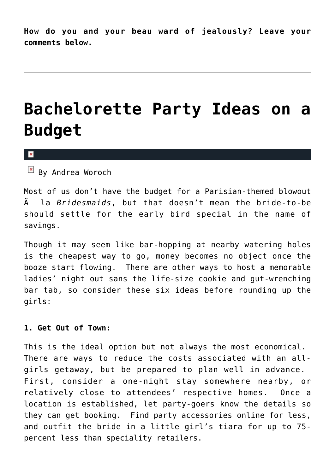**How do you and your beau ward of jealously? Leave your comments below.**

### **[Bachelorette Party Ideas on a](https://cupidspulse.com/25688/bachelorette-party-ideas-budget-cheap-inexpensive/) [Budget](https://cupidspulse.com/25688/bachelorette-party-ideas-budget-cheap-inexpensive/)**

#### $\pmb{\times}$

 $By$  Andrea Woroch

Most of us don't have the budget for a Parisian-themed blowout à la *Bridesmaids*, but that doesn't mean the bride-to-be should settle for the early bird special in the name of savings.

Though it may seem like bar-hopping at nearby watering holes is the cheapest way to go, money becomes no object once the booze start flowing. There are other ways to host a memorable ladies' night out sans the life-size cookie and gut-wrenching bar tab, so consider these six ideas before rounding up the girls:

#### **1. Get Out of Town:**

This is the ideal option but not always the most economical. There are ways to reduce the costs associated with an allgirls getaway, but be prepared to plan well in advance. First, consider a one-night stay somewhere nearby, or relatively close to attendees' respective homes. Once a location is established, let party-goers know the details so they can get booking. Find party accessories online for less, and outfit the bride in a little girl's tiara for up to 75 percent less than speciality retailers.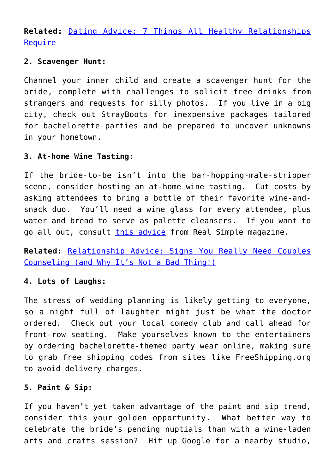**Related:** [Dating Advice: 7 Things All Healthy Relationships](http://cupidspulse.com/99296/dating-advice-things-healthy-relationships-require/) **[Require](http://cupidspulse.com/99296/dating-advice-things-healthy-relationships-require/)** 

#### **2. Scavenger Hunt:**

Channel your inner child and create a scavenger hunt for the bride, complete with challenges to solicit free drinks from strangers and requests for silly photos. If you live in a big city, check out StrayBoots for inexpensive packages tailored for bachelorette parties and be prepared to uncover unknowns in your hometown.

#### **3. At-home Wine Tasting:**

If the bride-to-be isn't into the bar-hopping-male-stripper scene, consider hosting an at-home wine tasting. Cut costs by asking attendees to bring a bottle of their favorite wine-andsnack duo. You'll need a wine glass for every attendee, plus water and bread to serve as palette cleansers. If you want to go all out, consult [this advice](http://www.realsimple.com/holidays-entertaining/entertaining/everyday-celebrations/host-wine-tasting-party-10000001667630/index.html) from Real Simple magazine.

**Related:** [Relationship Advice: Signs You Really Need Couples](http://cupidspulse.com/97222/relationship-advice-love-advice-couples-counseling/) [Counseling \(and Why It's Not a Bad Thing!\)](http://cupidspulse.com/97222/relationship-advice-love-advice-couples-counseling/)

#### **4. Lots of Laughs:**

The stress of wedding planning is likely getting to everyone, so a night full of laughter might just be what the doctor ordered. Check out your local comedy club and call ahead for front-row seating. Make yourselves known to the entertainers by ordering bachelorette-themed party wear online, making sure to grab free shipping codes from sites like FreeShipping.org to avoid delivery charges.

### **5. Paint & Sip:**

If you haven't yet taken advantage of the paint and sip trend, consider this your golden opportunity. What better way to celebrate the bride's pending nuptials than with a wine-laden arts and crafts session? Hit up Google for a nearby studio,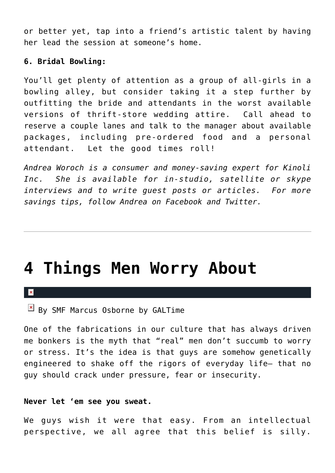or better yet, tap into a friend's artistic talent by having her lead the session at someone's home.

#### **6. Bridal Bowling:**

You'll get plenty of attention as a group of all-girls in a bowling alley, but consider taking it a step further by outfitting the bride and attendants in the worst available versions of thrift-store wedding attire. Call ahead to reserve a couple lanes and talk to the manager about available packages, including pre-ordered food and a personal attendant. Let the good times roll!

*Andrea Woroch is a consumer and money-saving expert for Kinoli Inc. She is available for in-studio, satellite or skype interviews and to write guest posts or articles. For more savings tips, follow Andrea on Facebook and Twitter.*

### **[4 Things Men Worry About](https://cupidspulse.com/30512/4-things-men-worry-about/)**

 $\pmb{\times}$ 

 $\mathbb{E}$  By SMF Marcus Osborne by GALTime

One of the fabrications in our culture that has always driven me bonkers is the myth that "real" men don't succumb to worry or stress. It's the idea is that guys are somehow genetically engineered to shake off the rigors of everyday life– that no guy should crack under pressure, fear or insecurity.

#### **Never let 'em see you sweat.**

We guys wish it were that easy. From an intellectual perspective, we all agree that this belief is silly.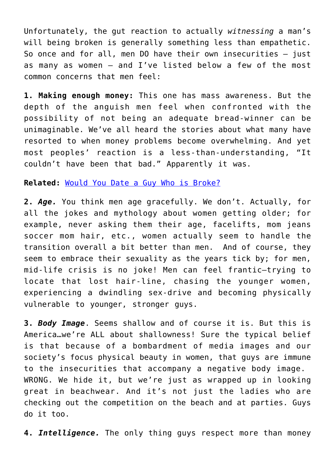Unfortunately, the gut reaction to actually *witnessing* a man's will being broken is generally something less than empathetic. So once and for all, men DO have their own insecurities — just as many as women — and I've listed below a few of the most common concerns that men feel:

**1. Making enough money:** This one has mass awareness. But the depth of the anguish men feel when confronted with the possibility of not being an adequate bread-winner can be unimaginable. We've all heard the stories about what many have resorted to when money problems become overwhelming. And yet most peoples' reaction is a less-than-understanding, "It couldn't have been that bad." Apparently it was.

**Related:** [Would You Date a Guy Who is Broke?](http://galtime.com)

**2.** *Age.* You think men age gracefully. We don't. Actually, for all the jokes and mythology about women getting older; for example, never asking them their age, facelifts, mom jeans soccer mom hair, etc., women actually seem to handle the transition overall a bit better than men. And of course, they seem to embrace their sexuality as the years tick by; for men, mid-life crisis is no joke! Men can feel frantic–trying to locate that lost hair-line, chasing the younger women, experiencing a dwindling sex-drive and becoming physically vulnerable to younger, stronger guys.

**3.** *Body Image*. Seems shallow and of course it is. But this is America…we're ALL about shallowness! Sure the typical belief is that because of a bombardment of media images and our society's focus physical beauty in women, that guys are immune to the insecurities that accompany a negative body image. WRONG. We hide it, but we're just as wrapped up in looking great in beachwear. And it's not just the ladies who are checking out the competition on the beach and at parties. Guys do it too.

**4.** *Intelligence.* The only thing guys respect more than money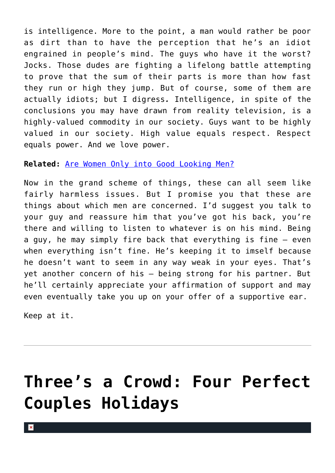is intelligence. More to the point, a man would rather be poor as dirt than to have the perception that he's an idiot engrained in people's mind. The guys who have it the worst? Jocks. Those dudes are fighting a lifelong battle attempting to prove that the sum of their parts is more than how fast they run or high they jump. But of course, some of them are actually idiots; but I digress*.* Intelligence, in spite of the conclusions you may have drawn from reality television, is a highly-valued commodity in our society. Guys want to be highly valued in our society. High value equals respect. Respect equals power. And we love power.

### **Related:** [Are Women Only into Good Looking Men?](http://galtime.com)

Now in the grand scheme of things, these can all seem like fairly harmless issues. But I promise you that these are things about which men are concerned. I'd suggest you talk to your guy and reassure him that you've got his back, you're there and willing to listen to whatever is on his mind. Being a guy, he may simply fire back that everything is fine — even when everything isn't fine. He's keeping it to imself because he doesn't want to seem in any way weak in your eyes. That's yet another concern of his – being strong for his partner. But he'll certainly appreciate your affirmation of support and may even eventually take you up on your offer of a supportive ear.

Keep at it.

# **[Three's a Crowd: Four Perfect](https://cupidspulse.com/30628/four-perfect-couples-holidays/) [Couples Holidays](https://cupidspulse.com/30628/four-perfect-couples-holidays/)**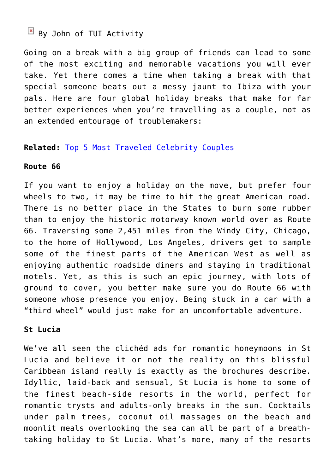### $\boxed{\times}$  By John of TUI Activity

Going on a break with a big group of friends can lead to some of the most exciting and memorable vacations you will ever take. Yet there comes a time when taking a break with that special someone beats out a messy jaunt to Ibiza with your pals. Here are four global holiday breaks that make for far better experiences when you're travelling as a couple, not as an extended entourage of troublemakers:

#### **Related:** [Top 5 Most Traveled Celebrity Couples](http://cupidspulse.com/top-five-most-traveled-celebrity-couples-ethan-zohn-miranda-kerr-orlando-bloom-jay-z-beyonce-prince-william-kate-middleton-eva-longoria-eduardo-cruz/)

#### **Route 66**

If you want to enjoy a holiday on the move, but prefer four wheels to two, it may be time to hit the great American road. There is no better place in the States to burn some rubber than to enjoy the historic motorway known world over as Route 66. Traversing some 2,451 miles from the Windy City, Chicago, to the home of Hollywood, Los Angeles, drivers get to sample some of the finest parts of the American West as well as enjoying authentic roadside diners and staying in traditional motels. Yet, as this is such an epic journey, with lots of ground to cover, you better make sure you do Route 66 with someone whose presence you enjoy. Being stuck in a car with a "third wheel" would just make for an uncomfortable adventure.

#### **St Lucia**

We've all seen the clichéd ads for romantic honeymoons in St Lucia and believe it or not the reality on this blissful Caribbean island really is exactly as the brochures describe. Idyllic, laid-back and sensual, St Lucia is home to some of the finest beach-side resorts in the world, perfect for romantic trysts and adults-only breaks in the sun. Cocktails under palm trees, coconut oil massages on the beach and moonlit meals overlooking the sea can all be part of a breathtaking holiday to St Lucia. What's more, many of the resorts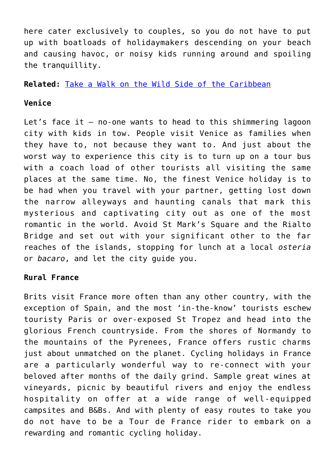here cater exclusively to couples, so you do not have to put up with boatloads of holidaymakers descending on your beach and causing havoc, or noisy kids running around and spoiling the tranquillity.

**Related:** [Take a Walk on the Wild Side of the Caribbean](http://cupidspulse.com/take-walk-on-wild-side-of-caribbean-singles-vacation-pirates-of-the-caribbean-getaway/)

### **Venice**

Let's face it – no-one wants to head to this shimmering lagoon city with kids in tow. People visit Venice as families when they have to, not because they want to. And just about the worst way to experience this city is to turn up on a tour bus with a coach load of other tourists all visiting the same places at the same time. No, the finest Venice holiday is to be had when you travel with your partner, getting lost down the narrow alleyways and haunting canals that mark this mysterious and captivating city out as one of the most romantic in the world. Avoid St Mark's Square and the Rialto Bridge and set out with your significant other to the far reaches of the islands, stopping for lunch at a local *osteria* or *bacaro*, and let the city guide you.

#### **Rural France**

Brits visit France more often than any other country, with the exception of Spain, and the most 'in-the-know' tourists eschew touristy Paris or over-exposed St Tropez and head into the glorious French countryside. From the shores of Normandy to the mountains of the Pyrenees, France offers rustic charms just about unmatched on the planet. Cycling holidays in France are a particularly wonderful way to re-connect with your beloved after months of the daily grind. Sample great wines at vineyards, picnic by beautiful rivers and enjoy the endless hospitality on offer at a wide range of well-equipped campsites and B&Bs. And with plenty of easy routes to take you do not have to be a Tour de France rider to embark on a rewarding and romantic cycling holiday.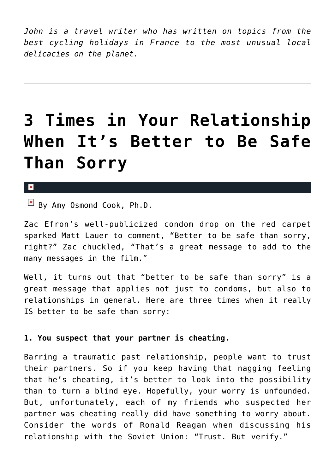*John is a travel writer who has written on topics from the best cycling holidays in France to the most unusual local delicacies on the planet.*

# **[3 Times in Your Relationship](https://cupidspulse.com/30623/3-times-relationship-better-safe-than-sorry/) [When It's Better to Be Safe](https://cupidspulse.com/30623/3-times-relationship-better-safe-than-sorry/) [Than Sorry](https://cupidspulse.com/30623/3-times-relationship-better-safe-than-sorry/)**

#### $\mathbf{R}$

 $\mathbb{F}$  By Amy Osmond Cook, Ph.D.

Zac Efron's well-publicized condom drop on the red carpet sparked Matt Lauer to comment, "Better to be safe than sorry, right?" Zac chuckled, "That's a great message to add to the many messages in the film."

Well, it turns out that "better to be safe than sorry" is a great message that applies not just to condoms, but also to relationships in general. Here are three times when it really IS better to be safe than sorry:

#### **1. You suspect that your partner is cheating.**

Barring a traumatic past relationship, people want to trust their partners. So if you keep having that nagging feeling that he's cheating, it's better to look into the possibility than to turn a blind eye. Hopefully, your worry is unfounded. But, unfortunately, each of my friends who suspected her partner was cheating really did have something to worry about. Consider the words of Ronald Reagan when discussing his relationship with the Soviet Union: "Trust. But verify."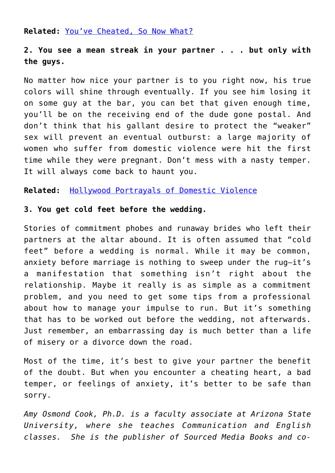**Related:** [You've Cheated, So Now What?](http://cupidspulse.com/youve-cheated-what-now-unfaithful/)

### **2. You see a mean streak in your partner . . . but only with the guys.**

No matter how nice your partner is to you right now, his true colors will shine through eventually. If you see him losing it on some guy at the bar, you can bet that given enough time, you'll be on the receiving end of the dude gone postal. And don't think that his gallant desire to protect the "weaker" sex will prevent an eventual outburst: a large majority of women who suffer from domestic violence were hit the first time while they were pregnant. Don't mess with a nasty temper. It will always come back to haunt you.

**Related:** [Hollywood Portrayals of Domestic Violence](http://cupidspulse.com/hollywood-portrayals-of-domestic-violence/)

#### **3. You get cold feet before the wedding.**

Stories of commitment phobes and runaway brides who left their partners at the altar abound. It is often assumed that "cold feet" before a wedding is normal. While it may be common, anxiety before marriage is nothing to sweep under the rug–it's a manifestation that something isn't right about the relationship. Maybe it really is as simple as a commitment problem, and you need to get some tips from a professional about how to manage your impulse to run. But it's something that has to be worked out before the wedding, not afterwards. Just remember, an embarrassing day is much better than a life of misery or a divorce down the road.

Most of the time, it's best to give your partner the benefit of the doubt. But when you encounter a cheating heart, a bad temper, or feelings of anxiety, it's better to be safe than sorry.

*Amy Osmond Cook, Ph.D. is a faculty associate at Arizona State University, where she teaches Communication and English classes. She is the publisher of Sourced Media Books and co-*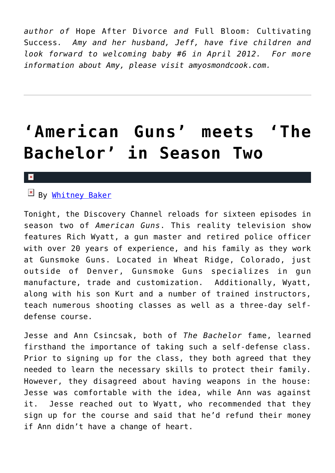*author of* Hope After Divorce *and* Full Bloom: Cultivating Success*. Amy and her husband, Jeff, have five children and look forward to welcoming baby #6 in April 2012. For more information about Amy, please visit amyosmondcook.com.*

## **['American Guns' meets 'The](https://cupidspulse.com/30553/american-guns-the-bachelor-discovery-channel-rich-wyatt-jesse-csincsak/) [Bachelor' in Season Two](https://cupidspulse.com/30553/american-guns-the-bachelor-discovery-channel-rich-wyatt-jesse-csincsak/)**

### By [Whitney Baker](http://cupidspulse.com/search-results/?q=Whitney+Baker)

Tonight, the Discovery Channel reloads for sixteen episodes in season two of *American Guns*. This reality television show features Rich Wyatt, a gun master and retired police officer with over 20 years of experience, and his family as they work at Gunsmoke Guns. Located in Wheat Ridge, Colorado, just outside of Denver, Gunsmoke Guns specializes in gun manufacture, trade and customization. Additionally, Wyatt, along with his son Kurt and a number of trained instructors, teach numerous shooting classes as well as a three-day selfdefense course.

Jesse and Ann Csincsak, both of *The Bachelor* fame, learned firsthand the importance of taking such a self-defense class. Prior to signing up for the class, they both agreed that they needed to learn the necessary skills to protect their family. However, they disagreed about having weapons in the house: Jesse was comfortable with the idea, while Ann was against it. Jesse reached out to Wyatt, who recommended that they sign up for the course and said that he'd refund their money if Ann didn't have a change of heart.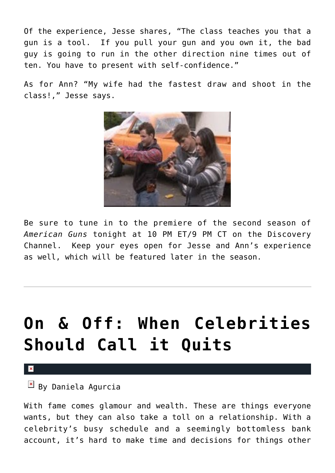Of the experience, Jesse shares, "The class teaches you that a gun is a tool. If you pull your gun and you own it, the bad guy is going to run in the other direction nine times out of ten. You have to present with self-confidence."

As for Ann? "My wife had the fastest draw and shoot in the class!," Jesse says.



Be sure to tune in to the premiere of the second season of *American Guns* tonight at 10 PM ET/9 PM CT on the Discovery Channel. Keep your eyes open for Jesse and Ann's experience as well, which will be featured later in the season.

# **[On & Off: When Celebrities](https://cupidspulse.com/29099/reasons-celebrity-couples-should-break-up-split/) [Should Call it Quits](https://cupidspulse.com/29099/reasons-celebrity-couples-should-break-up-split/)**

#### $\mathbf{x}$

 $\overline{B}$  By Daniela Agurcia

With fame comes glamour and wealth. These are things everyone wants, but they can also take a toll on a relationship. With a celebrity's busy schedule and a seemingly bottomless bank account, it's hard to make time and decisions for things other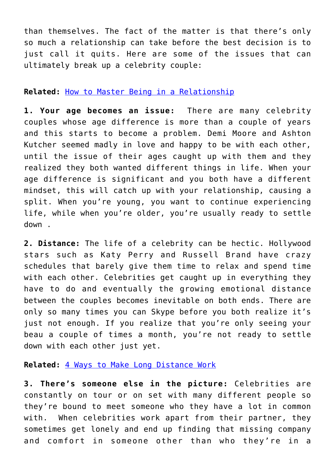than themselves. The fact of the matter is that there's only so much a relationship can take before the best decision is to just call it quits. Here are some of the issues that can ultimately break up a celebrity couple:

#### **Related:** [How to Master Being in a Relationship](http://cupidspulse.com/how-master-being-relationship-nan-obrien-guest-emotionally-available-dating-advice/)

**1. Your age becomes an issue:** There are many celebrity couples whose age difference is more than a couple of years and this starts to become a problem. Demi Moore and Ashton Kutcher seemed madly in love and happy to be with each other, until the issue of their ages caught up with them and they realized they both wanted different things in life. When your age difference is significant and you both have a different mindset, this will catch up with your relationship, causing a split. When you're young, you want to continue experiencing life, while when you're older, you're usually ready to settle down .

**2. Distance:** The life of a celebrity can be hectic. Hollywood stars such as Katy Perry and Russell Brand have crazy schedules that barely give them time to relax and spend time with each other. Celebrities get caught up in everything they have to do and eventually the growing emotional distance between the couples becomes inevitable on both ends. There are only so many times you can Skype before you both realize it's just not enough. If you realize that you're only seeing your beau a couple of times a month, you're not ready to settle down with each other just yet.

#### **Related:** [4 Ways to Make Long Distance Work](http://cupidspulse.com/ways-make-long-distance-relationship-work/)

**3. There's someone else in the picture:** Celebrities are constantly on tour or on set with many different people so they're bound to meet someone who they have a lot in common with. When celebrities work apart from their partner, they sometimes get lonely and end up finding that missing company and comfort in someone other than who they're in a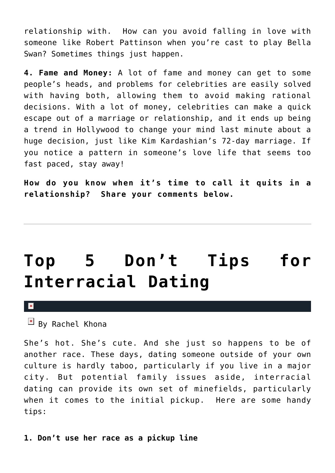relationship with. How can you avoid falling in love with someone like Robert Pattinson when you're cast to play Bella Swan? Sometimes things just happen.

**4. Fame and Money:** A lot of fame and money can get to some people's heads, and problems for celebrities are easily solved with having both, allowing them to avoid making rational decisions. With a lot of money, celebrities can make a quick escape out of a marriage or relationship, and it ends up being a trend in Hollywood to change your mind last minute about a huge decision, just like Kim Kardashian's 72-day marriage. If you notice a pattern in someone's love life that seems too fast paced, stay away!

**How do you know when it's time to call it quits in a relationship? Share your comments below.**

# **[Top 5 Don't Tips for](https://cupidspulse.com/30480/dont-tips-interracial-dating/) [Interracial Dating](https://cupidspulse.com/30480/dont-tips-interracial-dating/)**

 $\mathbf{\mathbf{x}}$ 

### $\mathbb{F}$  By Rachel Khona

She's hot. She's cute. And she just so happens to be of another race. These days, dating someone outside of your own culture is hardly taboo, particularly if you live in a major city. But potential family issues aside, interracial dating can provide its own set of minefields, particularly when it comes to the initial pickup. Here are some handy tips:

**1. Don't use her race as a pickup line**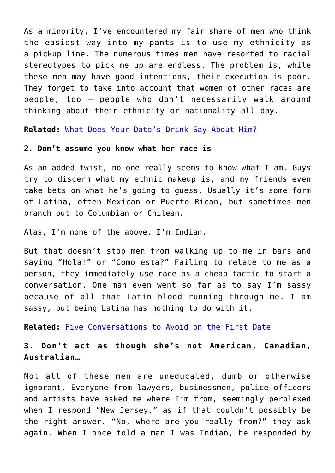As a minority, I've encountered my fair share of men who think the easiest way into my pants is to use my ethnicity as a pickup line. The numerous times men have resorted to racial stereotypes to pick me up are endless. The problem is, while these men may have good intentions, their execution is poor. They forget to take into account that women of other races are people, too — people who don't necessarily walk around thinking about their ethnicity or nationality all day.

**Related:** [What Does Your Date's Drink Say About Him?](http://cupidspulse.com/what-does-dates-drink-say-about-him-bartender-love-beer-wine-liquor/)

#### **2. Don't assume you know what her race is**

As an added twist, no one really seems to know what I am. Guys try to discern what my ethnic makeup is, and my friends even take bets on what he's going to guess. Usually it's some form of Latina, often Mexican or Puerto Rican, but sometimes men branch out to Columbian or Chilean.

Alas, I'm none of the above. I'm Indian.

But that doesn't stop men from walking up to me in bars and saying "Hola!" or "Como esta?" Failing to relate to me as a person, they immediately use race as a cheap tactic to start a conversation. One man even went so far as to say I'm sassy because of all that Latin blood running through me. I am sassy, but being Latina has nothing to do with it.

**Related:** [Five Conversations to Avoid on the First Date](http://cupidspulse.com/five-conversations-to-avoid-on-first-date/)

**3. Don't act as though she's not American, Canadian, Australian…**

Not all of these men are uneducated, dumb or otherwise ignorant. Everyone from lawyers, businessmen, police officers and artists have asked me where I'm from, seemingly perplexed when I respond "New Jersey," as if that couldn't possibly be the right answer. "No, where are you really from?" they ask again. When I once told a man I was Indian, he responded by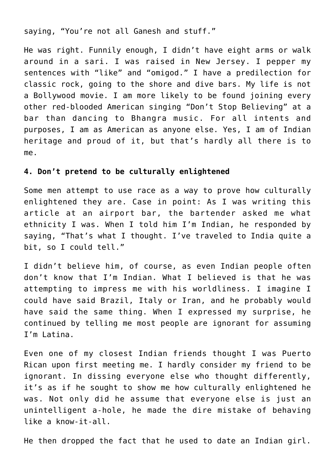saying, "You're not all Ganesh and stuff."

He was right. Funnily enough, I didn't have eight arms or walk around in a sari. I was raised in New Jersey. I pepper my sentences with "like" and "omigod." I have a predilection for classic rock, going to the shore and dive bars. My life is not a Bollywood movie. I am more likely to be found joining every other red-blooded American singing "Don't Stop Believing" at a bar than dancing to Bhangra music. For all intents and purposes, I am as American as anyone else. Yes, I am of Indian heritage and proud of it, but that's hardly all there is to me.

#### **4. Don't pretend to be culturally enlightened**

Some men attempt to use race as a way to prove how culturally enlightened they are. Case in point: As I was writing this article at an airport bar, the bartender asked me what ethnicity I was. When I told him I'm Indian, he responded by saying, "That's what I thought. I've traveled to India quite a bit, so I could tell."

I didn't believe him, of course, as even Indian people often don't know that I'm Indian. What I believed is that he was attempting to impress me with his worldliness. I imagine I could have said Brazil, Italy or Iran, and he probably would have said the same thing. When I expressed my surprise, he continued by telling me most people are ignorant for assuming I'm Latina.

Even one of my closest Indian friends thought I was Puerto Rican upon first meeting me. I hardly consider my friend to be ignorant. In dissing everyone else who thought differently, it's as if he sought to show me how culturally enlightened he was. Not only did he assume that everyone else is just an unintelligent a-hole, he made the dire mistake of behaving like a know-it-all.

He then dropped the fact that he used to date an Indian girl.